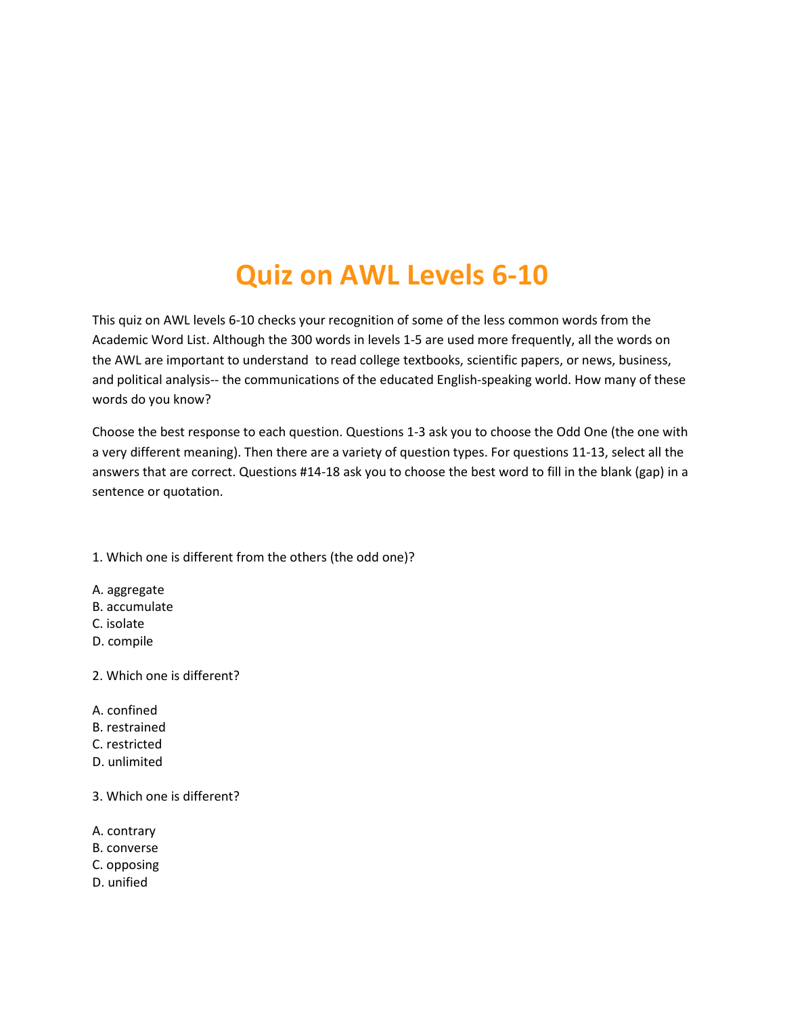# Quiz on AWL Levels 6-10

This quiz on AWL levels 6-10 checks your recognition of some of the less common words from the Academic Word List. Although the 300 words in levels 1-5 are used more frequently, all the words on the AWL are important to understand to read college textbooks, scientific papers, or news, business, and political analysis-- the communications of the educated English-speaking world. How many of these words do you know?

Choose the best response to each question. Questions 1-3 ask you to choose the Odd One (the one with a very different meaning). Then there are a variety of question types. For questions 11-13, select all the answers that are correct. Questions #14-18 ask you to choose the best word to fill in the blank (gap) in a sentence or quotation.

1. Which one is different from the others (the odd one)?

- A. aggregate
- B. accumulate
- C. isolate
- D. compile
- 2. Which one is different?
- A. confined
- B. restrained
- C. restricted
- D. unlimited
- 3. Which one is different?
- A. contrary
- B. converse
- C. opposing
- D. unified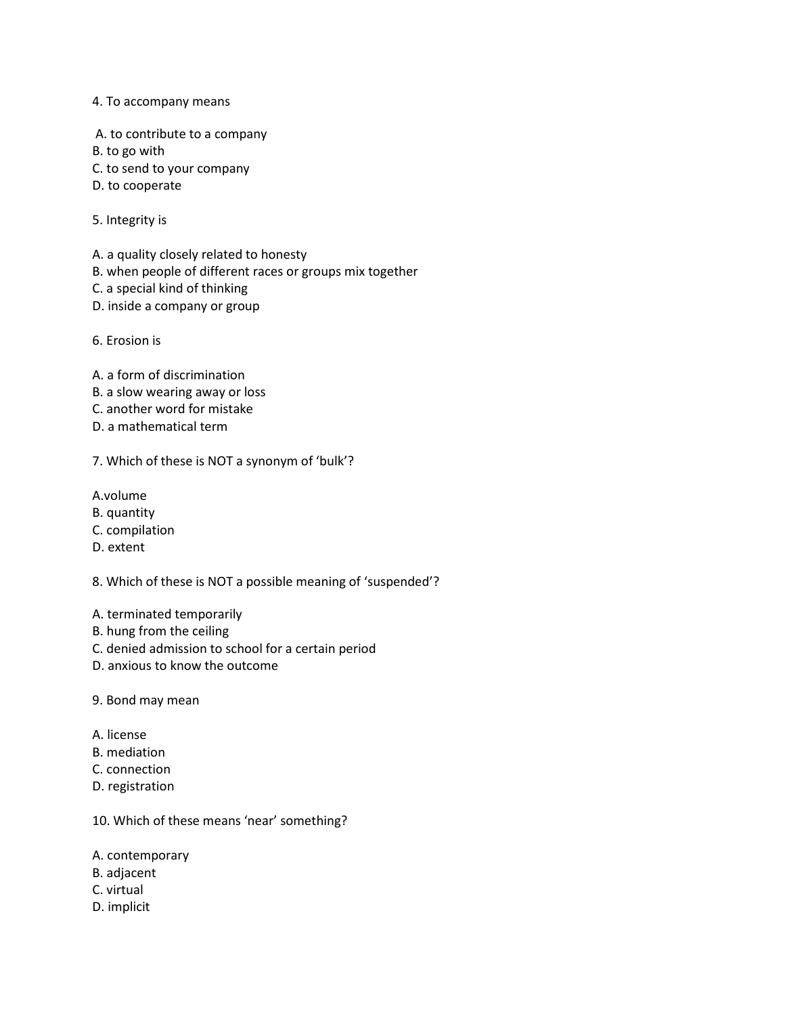#### 4. To accompany means

- A. to contribute to a company
- B. to go with
- C. to send to your company
- D. to cooperate
- 5. Integrity is
- A. a quality closely related to honesty
- B. when people of different races or groups mix together
- C. a special kind of thinking
- D. inside a company or group
- 6. Erosion is
- A. a form of discrimination
- B. a slow wearing away or loss
- C. another word for mistake
- D. a mathematical term
- 7. Which of these is NOT a synonym of 'bulk'?
- A.volume
- B. quantity
- C. compilation
- D. extent
- 8. Which of these is NOT a possible meaning of 'suspended'?
- A. terminated temporarily
- B. hung from the ceiling
- C. denied admission to school for a certain period
- D. anxious to know the outcome
- 9. Bond may mean
- A. license
- B. mediation
- C. connection
- D. registration
- 10. Which of these means 'near' something?
- A. contemporary
- B. adjacent
- C. virtual
- D. implicit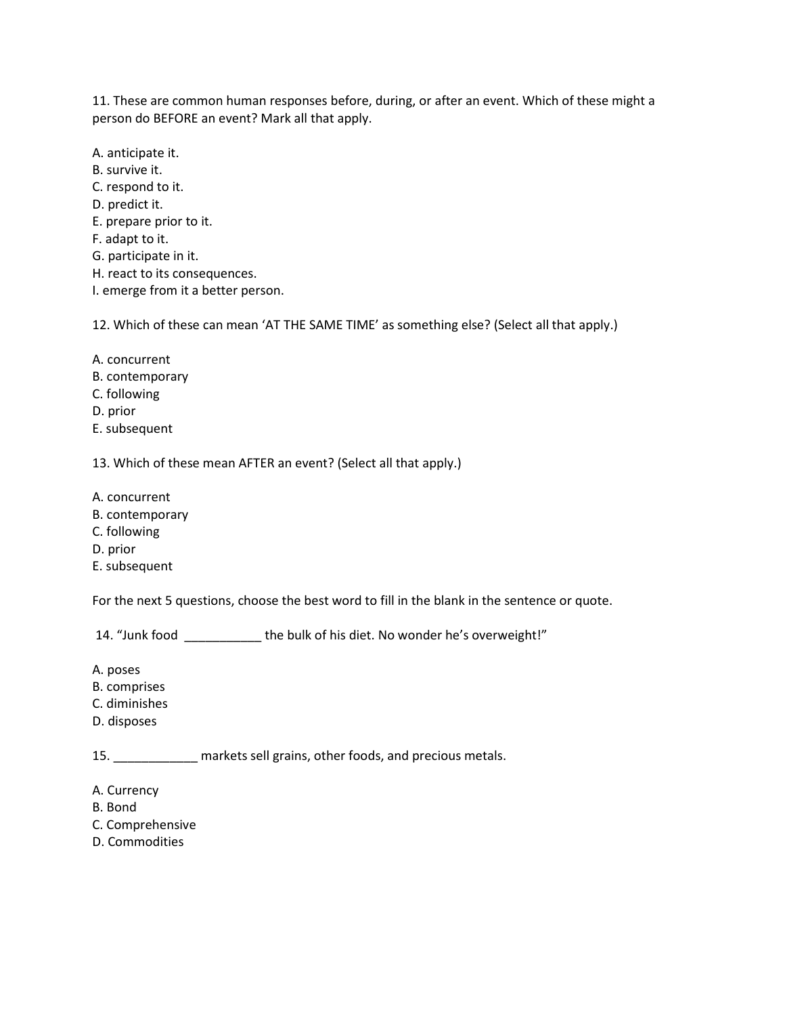11. These are common human responses before, during, or after an event. Which of these might a person do BEFORE an event? Mark all that apply.

A. anticipate it. B. survive it. C. respond to it. D. predict it. E. prepare prior to it. F. adapt to it. G. participate in it. H. react to its consequences. I. emerge from it a better person.

12. Which of these can mean 'AT THE SAME TIME' as something else? (Select all that apply.)

- A. concurrent
- B. contemporary
- C. following
- D. prior
- E. subsequent

13. Which of these mean AFTER an event? (Select all that apply.)

- A. concurrent
- B. contemporary
- C. following
- D. prior
- E. subsequent

For the next 5 questions, choose the best word to fill in the blank in the sentence or quote.

14. "Junk food \_\_\_\_\_\_\_\_\_\_\_ the bulk of his diet. No wonder he's overweight!"

- A. poses
- B. comprises
- C. diminishes
- D. disposes

15. \_\_\_\_\_\_\_\_\_\_\_\_ markets sell grains, other foods, and precious metals.

- A. Currency
- B. Bond
- C. Comprehensive
- D. Commodities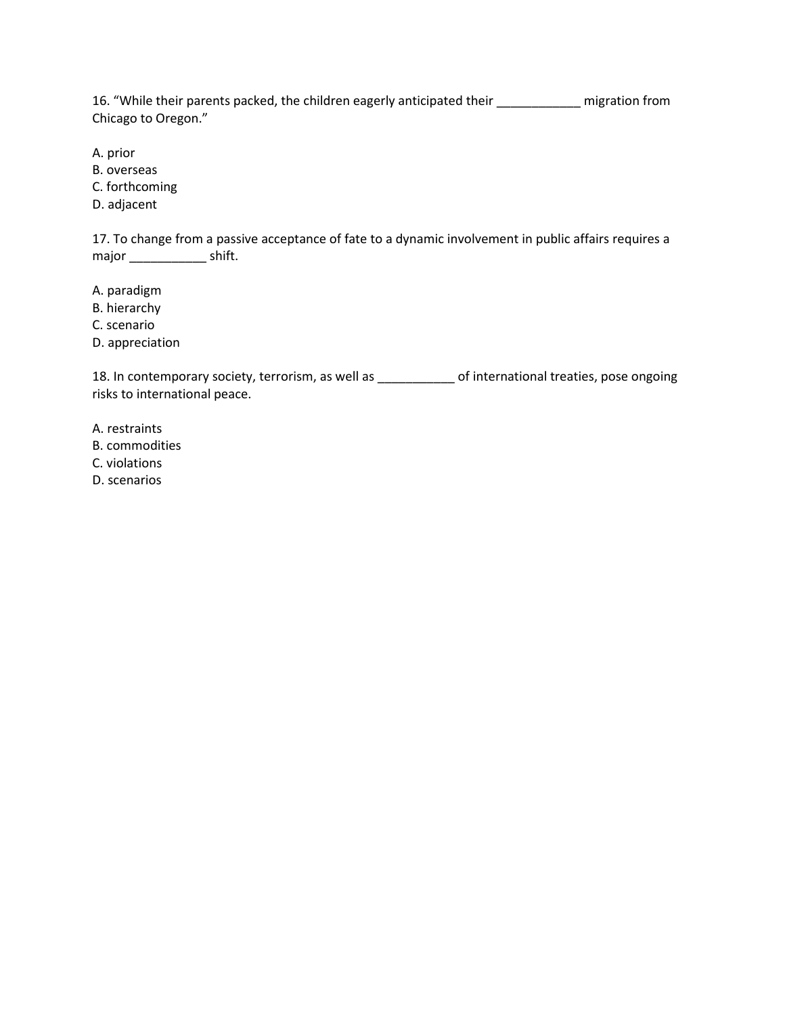16. "While their parents packed, the children eagerly anticipated their \_\_\_\_\_\_\_\_\_\_\_\_ migration from Chicago to Oregon."

A. prior

B. overseas

C. forthcoming

D. adjacent

17. To change from a passive acceptance of fate to a dynamic involvement in public affairs requires a major \_\_\_\_\_\_\_\_\_\_\_\_\_\_\_ shift.

A. paradigm

B. hierarchy

C. scenario

D. appreciation

18. In contemporary society, terrorism, as well as \_\_\_\_\_\_\_\_\_\_\_ of international treaties, pose ongoing risks to international peace.

A. restraints

B. commodities

C. violations

D. scenarios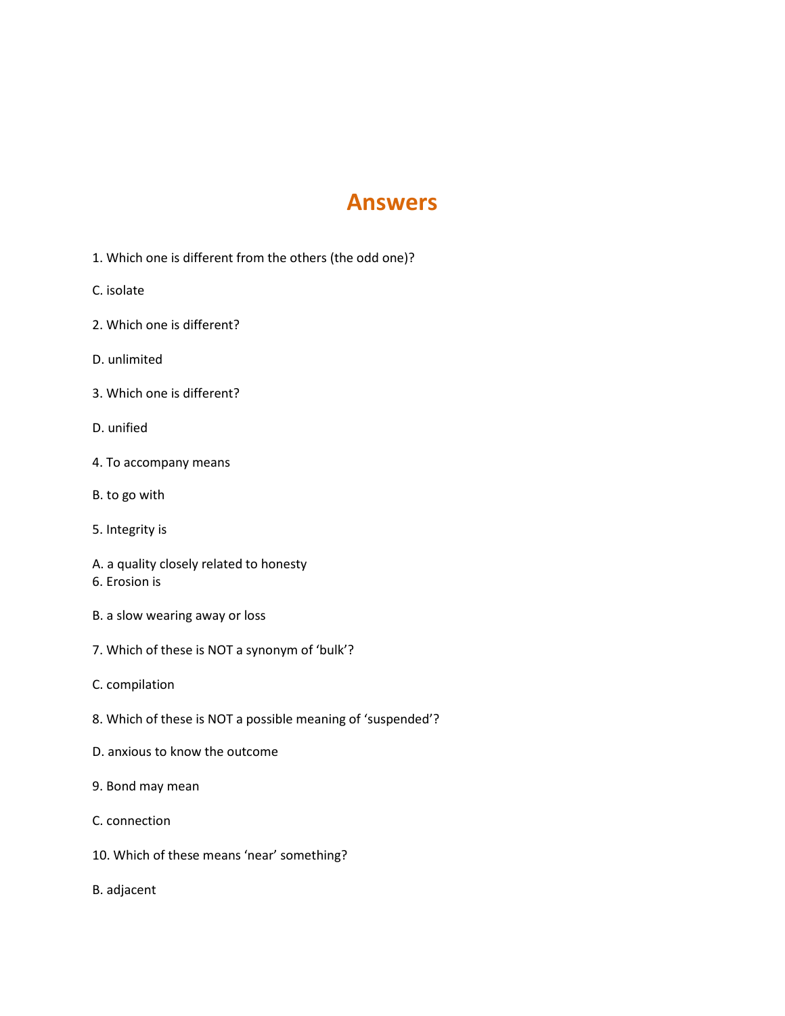## Answers

- 1. Which one is different from the others (the odd one)?
- C. isolate
- 2. Which one is different?
- D. unlimited
- 3. Which one is different?
- D. unified
- 4. To accompany means
- B. to go with
- 5. Integrity is
- A. a quality closely related to honesty
- 6. Erosion is
- B. a slow wearing away or loss
- 7. Which of these is NOT a synonym of 'bulk'?
- C. compilation
- 8. Which of these is NOT a possible meaning of 'suspended'?
- D. anxious to know the outcome
- 9. Bond may mean
- C. connection
- 10. Which of these means 'near' something?
- B. adjacent